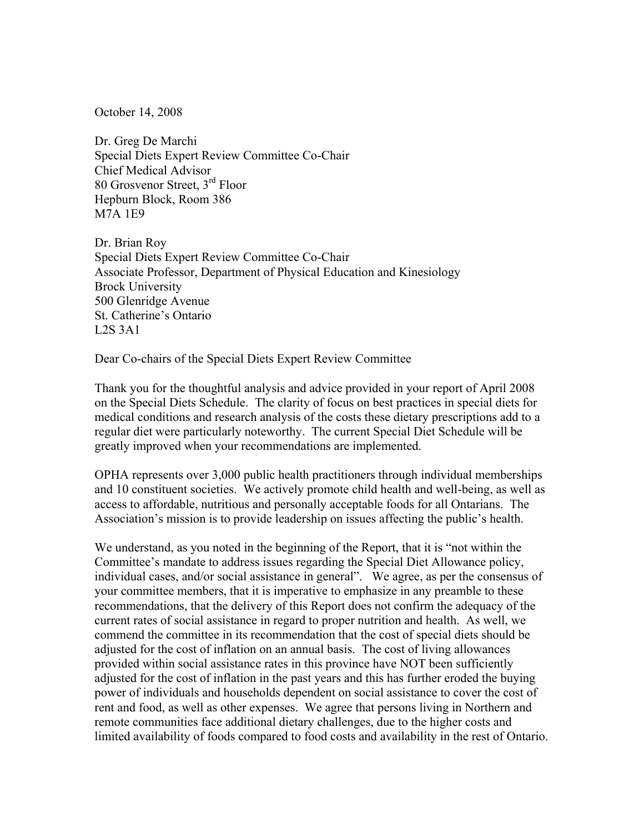October 14, 2008

Dr. Greg De Marchi Special Diets Expert Review Committee Co-Chair Chief Medical Advisor 80 Grosvenor Street, 3rd Floor Hepburn Block, Room 386 M7A 1E9

Dr. Brian Roy Special Diets Expert Review Committee Co-Chair Associate Professor, Department of Physical Education and Kinesiology Brock University 500 Glenridge Avenue St. Catherine's Ontario L2S 3A1

Dear Co-chairs of the Special Diets Expert Review Committee

Thank you for the thoughtful analysis and advice provided in your report of April 2008 on the Special Diets Schedule. The clarity of focus on best practices in special diets for medical conditions and research analysis of the costs these dietary prescriptions add to a regular diet were particularly noteworthy. The current Special Diet Schedule will be greatly improved when your recommendations are implemented.

OPHA represents over 3,000 public health practitioners through individual memberships and 10 constituent societies. We actively promote child health and well-being, as well as access to affordable, nutritious and personally acceptable foods for all Ontarians. The Association's mission is to provide leadership on issues affecting the public's health.

We understand, as you noted in the beginning of the Report, that it is "not within the Committee's mandate to address issues regarding the Special Diet Allowance policy, individual cases, and/or social assistance in general". We agree, as per the consensus of your committee members, that it is imperative to emphasize in any preamble to these recommendations, that the delivery of this Report does not confirm the adequacy of the current rates of social assistance in regard to proper nutrition and health. As well, we commend the committee in its recommendation that the cost of special diets should be adjusted for the cost of inflation on an annual basis. The cost of living allowances provided within social assistance rates in this province have NOT been sufficiently adjusted for the cost of inflation in the past years and this has further eroded the buying power of individuals and households dependent on social assistance to cover the cost of rent and food, as well as other expenses. We agree that persons living in Northern and remote communities face additional dietary challenges, due to the higher costs and limited availability of foods compared to food costs and availability in the rest of Ontario.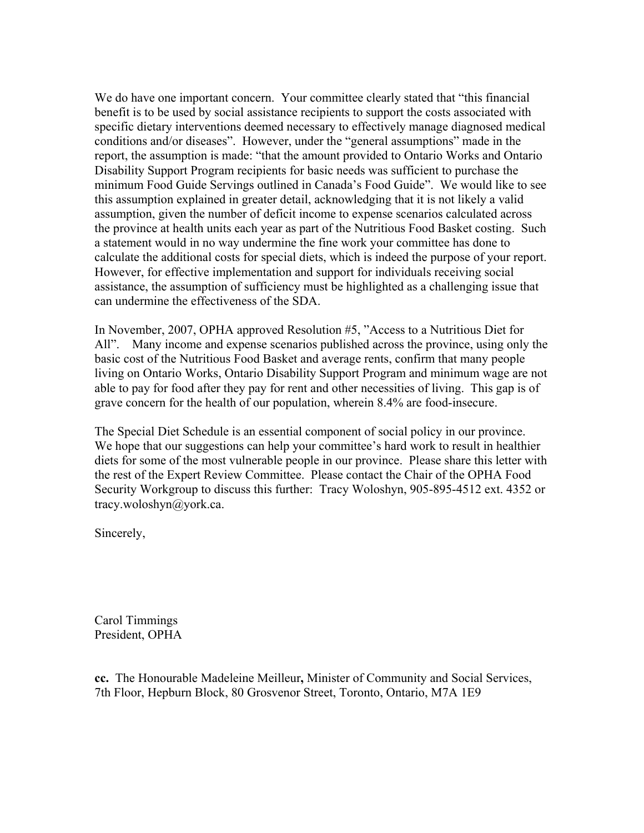We do have one important concern. Your committee clearly stated that "this financial benefit is to be used by social assistance recipients to support the costs associated with specific dietary interventions deemed necessary to effectively manage diagnosed medical conditions and/or diseases". However, under the "general assumptions" made in the report, the assumption is made: "that the amount provided to Ontario Works and Ontario Disability Support Program recipients for basic needs was sufficient to purchase the minimum Food Guide Servings outlined in Canada's Food Guide". We would like to see this assumption explained in greater detail, acknowledging that it is not likely a valid assumption, given the number of deficit income to expense scenarios calculated across the province at health units each year as part of the Nutritious Food Basket costing. Such a statement would in no way undermine the fine work your committee has done to calculate the additional costs for special diets, which is indeed the purpose of your report. However, for effective implementation and support for individuals receiving social assistance, the assumption of sufficiency must be highlighted as a challenging issue that can undermine the effectiveness of the SDA.

In November, 2007, OPHA approved Resolution #5, "Access to a Nutritious Diet for All". Many income and expense scenarios published across the province, using only the basic cost of the Nutritious Food Basket and average rents, confirm that many people living on Ontario Works, Ontario Disability Support Program and minimum wage are not able to pay for food after they pay for rent and other necessities of living. This gap is of grave concern for the health of our population, wherein 8.4% are food-insecure.

The Special Diet Schedule is an essential component of social policy in our province. We hope that our suggestions can help your committee's hard work to result in healthier diets for some of the most vulnerable people in our province. Please share this letter with the rest of the Expert Review Committee. Please contact the Chair of the OPHA Food Security Workgroup to discuss this further: Tracy Woloshyn, 905-895-4512 ext. 4352 or tracy.woloshyn@york.ca.

Sincerely,

Carol Timmings President, OPHA

**cc.** The Honourable Madeleine Meilleur**,** Minister of Community and Social Services, 7th Floor, Hepburn Block, 80 Grosvenor Street, Toronto, Ontario, M7A 1E9